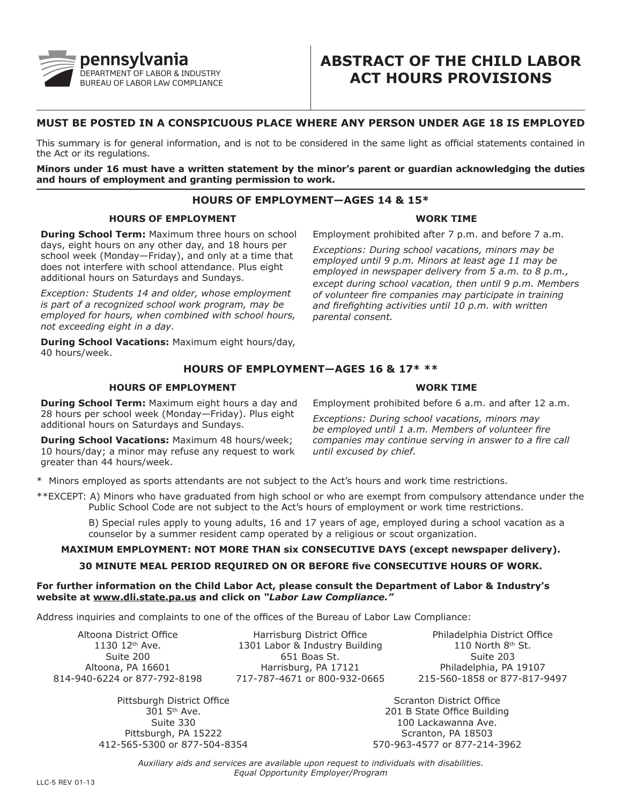

# **ABSTRACT OF THE CHILD LABOR ACT HOURS PROVISIONS**

## **MUST BE POSTED IN A CONSPICUOUS PLACE WHERE ANY PERSON UNDER AGE 18 IS EMPLOYED**

This summary is for general information, and is not to be considered in the same light as official statements contained in the Act or its regulations.

**Minors under 16 must have a written statement by the minor's parent or guardian acknowledging the duties and hours of employment and granting permission to work.**

## **HOURS OF EMPLOYMENT—AGES 14 & 15\***

### **HOURS OF EMPLOYMENT**

**During School Term:** Maximum three hours on school days, eight hours on any other day, and 18 hours per school week (Monday—Friday), and only at a time that does not interfere with school attendance. Plus eight additional hours on Saturdays and Sundays.

*Exception: Students 14 and older, whose employment is part of a recognized school work program, may be employed for hours, when combined with school hours, not exceeding eight in a day.*

**During School Vacations:** Maximum eight hours/day, 40 hours/week.

## Employment prohibited after 7 p.m. and before 7 a.m.

**WORK TIME**

*Exceptions: During school vacations, minors may be employed until 9 p.m. Minors at least age 11 may be employed in newspaper delivery from 5 a.m. to 8 p.m., except during school vacation, then until 9 p.m. Members of volunteer fire companies may participate in training and firefighting activities until 10 p.m. with written parental consent.*

## **HOURS OF EMPLOYMENT—AGES 16 & 17\* \*\***

#### **HOURS OF EMPLOYMENT**

**During School Term:** Maximum eight hours a day and 28 hours per school week (Monday—Friday). Plus eight additional hours on Saturdays and Sundays.

**During School Vacations:** Maximum 48 hours/week; 10 hours/day; a minor may refuse any request to work greater than 44 hours/week.

Employment prohibited before 6 a.m. and after 12 a.m.

**WORK TIME**

*Exceptions: During school vacations, minors may be employed until 1 a.m. Members of volunteer fire companies may continue serving in answer to a fire call until excused by chief.*

\* Minors employed as sports attendants are not subject to the Act's hours and work time restrictions.

\*\*EXCEPT: A) Minors who have graduated from high school or who are exempt from compulsory attendance under the Public School Code are not subject to the Act's hours of employment or work time restrictions.

B) Special rules apply to young adults, 16 and 17 years of age, employed during a school vacation as a counselor by a summer resident camp operated by a religious or scout organization.

## **MAXIMUM EMPLOYMENT: NOT MORE THAN six CONSECUTIVE DAYS (except newspaper delivery).**

#### **30 MINUTE MEAL PERIOD REQUIRED ON OR BEFORE five CONSECUTIVE HOURS OF WORK.**

#### **For further information on the Child Labor Act, please consult the Department of Labor & Industry's website at www.dli.state.pa.us and click on** *"Labor Law Compliance."*

Address inquiries and complaints to one of the offices of the Bureau of Labor Law Compliance:

Altoona District Office 1130 12th Ave. Suite 200 Altoona, PA 16601 814-940-6224 or 877-792-8198

> Pittsburgh District Office 301 5th Ave. Suite 330 Pittsburgh, PA 15222 412-565-5300 or 877-504-8354

Harrisburg District Office 1301 Labor & Industry Building 651 Boas St. Harrisburg, PA 17121 717-787-4671 or 800-932-0665

Philadelphia District Office  $110$  North  $8<sup>th</sup>$  St. Suite 203 Philadelphia, PA 19107 215-560-1858 or 877-817-9497

Scranton District Office 201 B State Office Building 100 Lackawanna Ave. Scranton, PA 18503 570-963-4577 or 877-214-3962

*Auxiliary aids and services are available upon request to individuals with disabilities. Equal Opportunity Employer/Program*